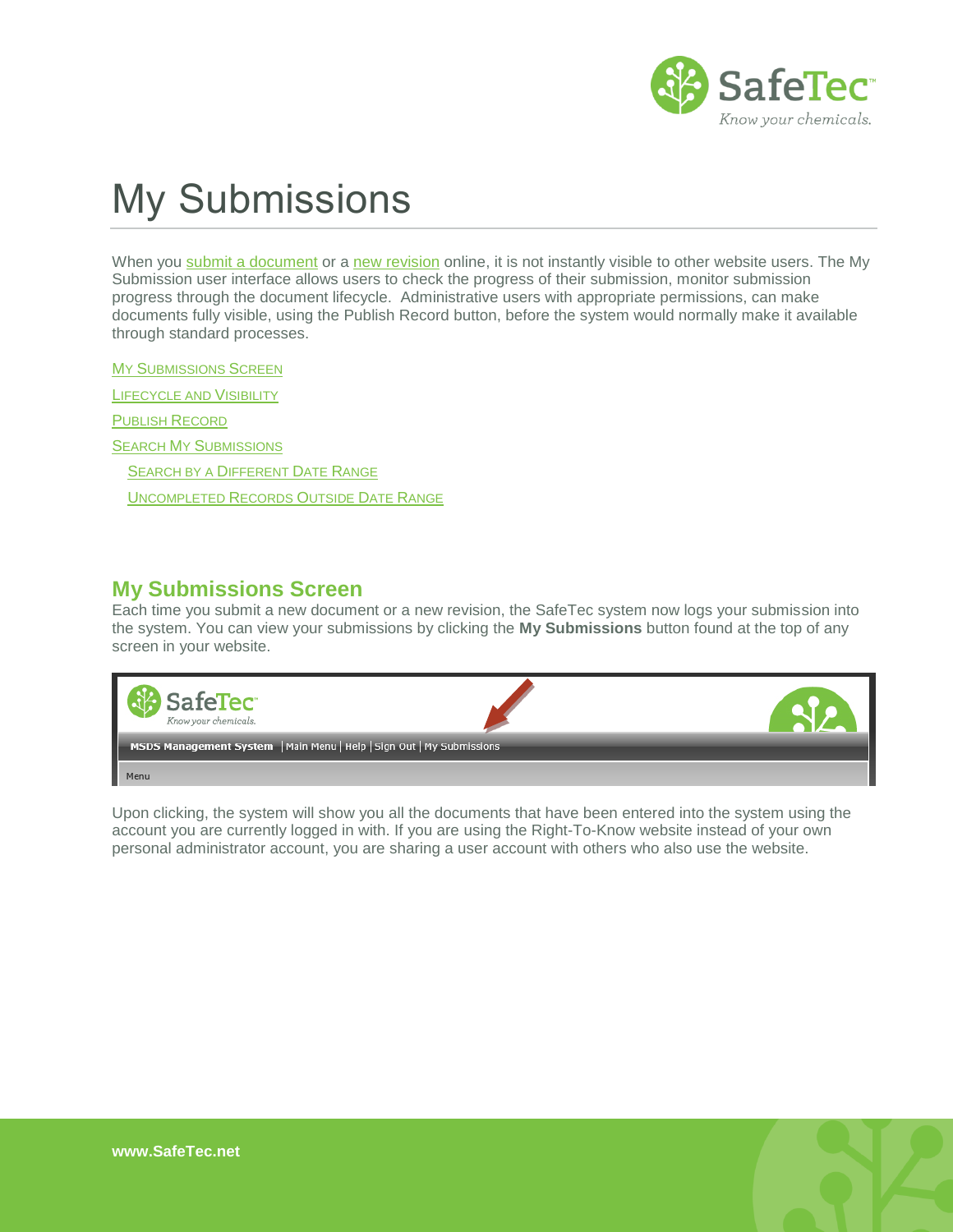

# My Submissions

When you [submit a document](http://www.safetec.net/wp-content/uploads/2014/08/help-submit-msdss1.pdf) or a [new revision](http://www.safetec.net/wp-content/uploads/2014/08/help-submit-new-revision-of-a-sds.pdf) online, it is not instantly visible to other website users. The My Submission user interface allows users to check the progress of their submission, monitor submission progress through the document lifecycle. Administrative users with appropriate permissions, can make documents fully visible, using the Publish Record button, before the system would normally make it available through standard processes.

**MY S[UBMISSIONS](#page-0-0) SCREEN** 

L[IFECYCLE AND](#page-1-0) VISIBILITY

P[UBLISH](#page-2-0) RECORD

SEARCH MY S[UBMISSIONS](#page-4-0)

S[EARCH BY A](#page-4-1) DIFFERENT DATE RANGE

U[NCOMPLETED](#page-5-0) RECORDS OUTSIDE DATE RANGE

#### <span id="page-0-0"></span>**My Submissions Screen**

Each time you submit a new document or a new revision, the SafeTec system now logs your submission into the system. You can view your submissions by clicking the **My Submissions** button found at the top of any screen in your website.



Upon clicking, the system will show you all the documents that have been entered into the system using the account you are currently logged in with. If you are using the Right-To-Know website instead of your own personal administrator account, you are sharing a user account with others who also use the website.

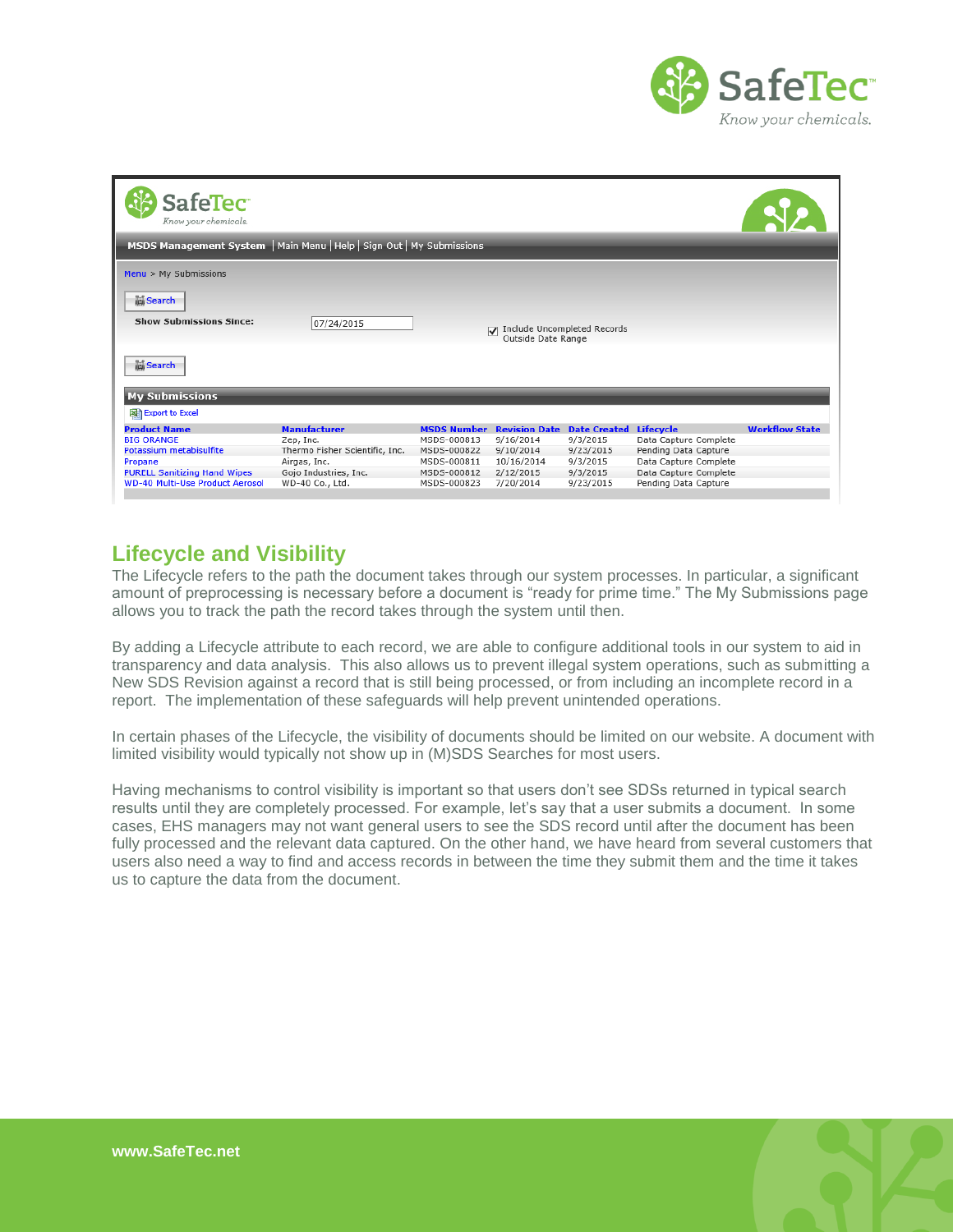

| <b>SafeTec</b><br>Know your chemicals.                                |                                |                    |                                             |                                                   |                       |                       |
|-----------------------------------------------------------------------|--------------------------------|--------------------|---------------------------------------------|---------------------------------------------------|-----------------------|-----------------------|
| MSDS Management System   Main Menu   Help   Sign Out   My Submissions |                                |                    |                                             |                                                   |                       |                       |
| $Menu$ > My Submissions                                               |                                |                    |                                             |                                                   |                       |                       |
| <b>Search</b><br><b>Show Submissions Since:</b>                       | 07/24/2015                     |                    | $\overline{\mathbf{v}}$                     | Include Uncompleted Records<br>Outside Date Range |                       |                       |
| <b>高Search</b>                                                        |                                |                    |                                             |                                                   |                       |                       |
| <b>My Submissions</b>                                                 |                                |                    |                                             |                                                   |                       |                       |
| Export to Excel                                                       |                                |                    |                                             |                                                   |                       |                       |
| <b>Product Name</b>                                                   | <b>Manufacturer</b>            | <b>MSDS Number</b> | <b>Revision Date Date Created Lifecycle</b> |                                                   |                       | <b>Workflow State</b> |
| <b>BIG ORANGE</b>                                                     | Zep, Inc.                      | MSDS-000813        | 9/16/2014                                   | 9/3/2015                                          | Data Capture Complete |                       |
| Potassium metabisulfite                                               | Thermo Fisher Scientific, Inc. | MSDS-000822        | 9/10/2014                                   | 9/23/2015                                         | Pending Data Capture  |                       |
| Propane                                                               | Airgas, Inc.                   | MSDS-000811        | 10/16/2014                                  | 9/3/2015                                          | Data Capture Complete |                       |
| <b>PURELL Sanitizing Hand Wipes</b>                                   | Gojo Industries, Inc.          | MSDS-000812        | 2/12/2015                                   | 9/3/2015                                          | Data Capture Complete |                       |
| <b>WD-40 Multi-Use Product Aerosol</b>                                | WD-40 Co., Ltd.                | MSDS-000823        | 7/20/2014                                   | 9/23/2015                                         | Pending Data Capture  |                       |

## <span id="page-1-0"></span>**Lifecycle and Visibility**

The Lifecycle refers to the path the document takes through our system processes. In particular, a significant amount of preprocessing is necessary before a document is "ready for prime time." The My Submissions page allows you to track the path the record takes through the system until then.

By adding a Lifecycle attribute to each record, we are able to configure additional tools in our system to aid in transparency and data analysis. This also allows us to prevent illegal system operations, such as submitting a New SDS Revision against a record that is still being processed, or from including an incomplete record in a report. The implementation of these safeguards will help prevent unintended operations.

In certain phases of the Lifecycle, the visibility of documents should be limited on our website. A document with limited visibility would typically not show up in (M)SDS Searches for most users.

Having mechanisms to control visibility is important so that users don't see SDSs returned in typical search results until they are completely processed. For example, let's say that a user submits a document. In some cases, EHS managers may not want general users to see the SDS record until after the document has been fully processed and the relevant data captured. On the other hand, we have heard from several customers that users also need a way to find and access records in between the time they submit them and the time it takes us to capture the data from the document.

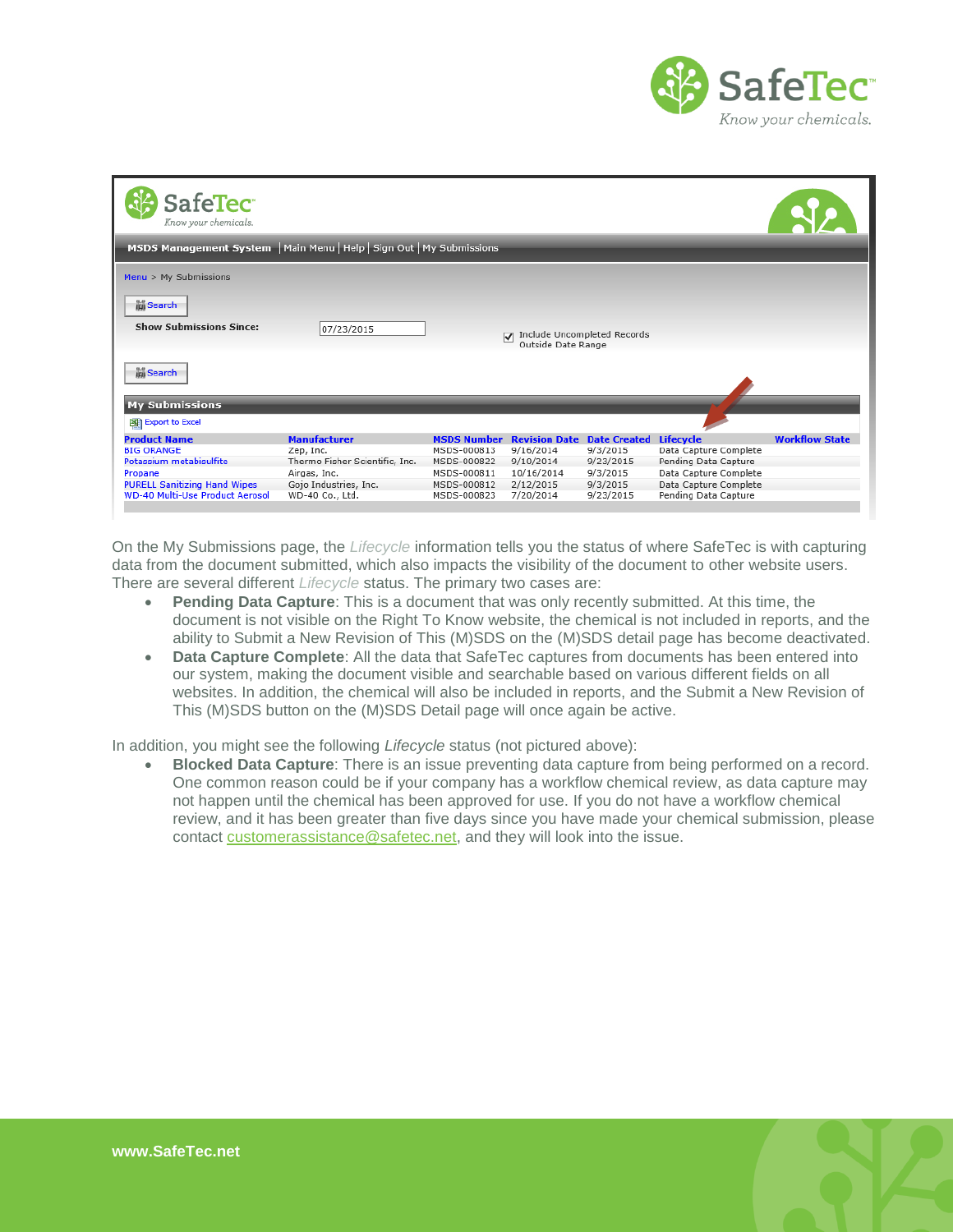

| <b>SafeTec</b><br>Know your chemicals.                                |                                |                    |                         |                                                   |                       |                       |
|-----------------------------------------------------------------------|--------------------------------|--------------------|-------------------------|---------------------------------------------------|-----------------------|-----------------------|
| MSDS Management System   Main Menu   Help   Sign Out   My Submissions |                                |                    |                         |                                                   |                       |                       |
| $Menu$ > My Submissions                                               |                                |                    |                         |                                                   |                       |                       |
| <b>Mi</b> Search                                                      |                                |                    |                         |                                                   |                       |                       |
| <b>Show Submissions Since:</b>                                        | 07/23/2015                     |                    | $\overline{\mathbf{v}}$ | Include Uncompleted Records<br>Outside Date Range |                       |                       |
| <b>idi</b> Search                                                     |                                |                    |                         |                                                   |                       |                       |
| <b>My Submissions</b>                                                 |                                |                    |                         |                                                   |                       |                       |
| Export to Excel                                                       |                                |                    |                         |                                                   |                       |                       |
| <b>Product Name</b>                                                   | <b>Manufacturer</b>            | <b>MSDS Number</b> | <b>Revision Date</b>    | <b>Date Created</b>                               | <b>Lifecycle</b>      | <b>Workflow State</b> |
| <b>BIG ORANGE</b>                                                     | Zep, Inc.                      | MSDS-000813        | 9/16/2014               | 9/3/2015                                          | Data Capture Complete |                       |
| Potassium metabisulfite                                               | Thermo Fisher Scientific, Inc. | MSDS-000822        | 9/10/2014               | 9/23/2015                                         | Pending Data Capture  |                       |
| Propane                                                               | Airgas, Inc.                   | MSDS-000811        | 10/16/2014              | 9/3/2015                                          | Data Capture Complete |                       |
| <b>PURELL Sanitizing Hand Wipes</b>                                   | Gojo Industries, Inc.          | MSDS-000812        | 2/12/2015               | 9/3/2015                                          | Data Capture Complete |                       |
| <b>WD-40 Multi-Use Product Aerosol</b>                                | WD-40 Co., Ltd.                | MSDS-000823        | 7/20/2014               | 9/23/2015                                         | Pending Data Capture  |                       |
|                                                                       |                                |                    |                         |                                                   |                       |                       |

On the My Submissions page, the *Lifecycle* information tells you the status of where SafeTec is with capturing data from the document submitted, which also impacts the visibility of the document to other website users. There are several different *Lifecycle* status. The primary two cases are:

- **Pending Data Capture**: This is a document that was only recently submitted. At this time, the document is not visible on the Right To Know website, the chemical is not included in reports, and the ability to Submit a New Revision of This (M)SDS on the (M)SDS detail page has become deactivated.
- **Data Capture Complete**: All the data that SafeTec captures from documents has been entered into our system, making the document visible and searchable based on various different fields on all websites. In addition, the chemical will also be included in reports, and the Submit a New Revision of This (M)SDS button on the (M)SDS Detail page will once again be active.

In addition, you might see the following *Lifecycle* status (not pictured above):

<span id="page-2-0"></span> **Blocked Data Capture**: There is an issue preventing data capture from being performed on a record. One common reason could be if your company has a workflow chemical review, as data capture may not happen until the chemical has been approved for use. If you do not have a workflow chemical review, and it has been greater than five days since you have made your chemical submission, please contact [customerassistance@safetec.net,](mailto:customerassistance@safetec.net) and they will look into the issue.

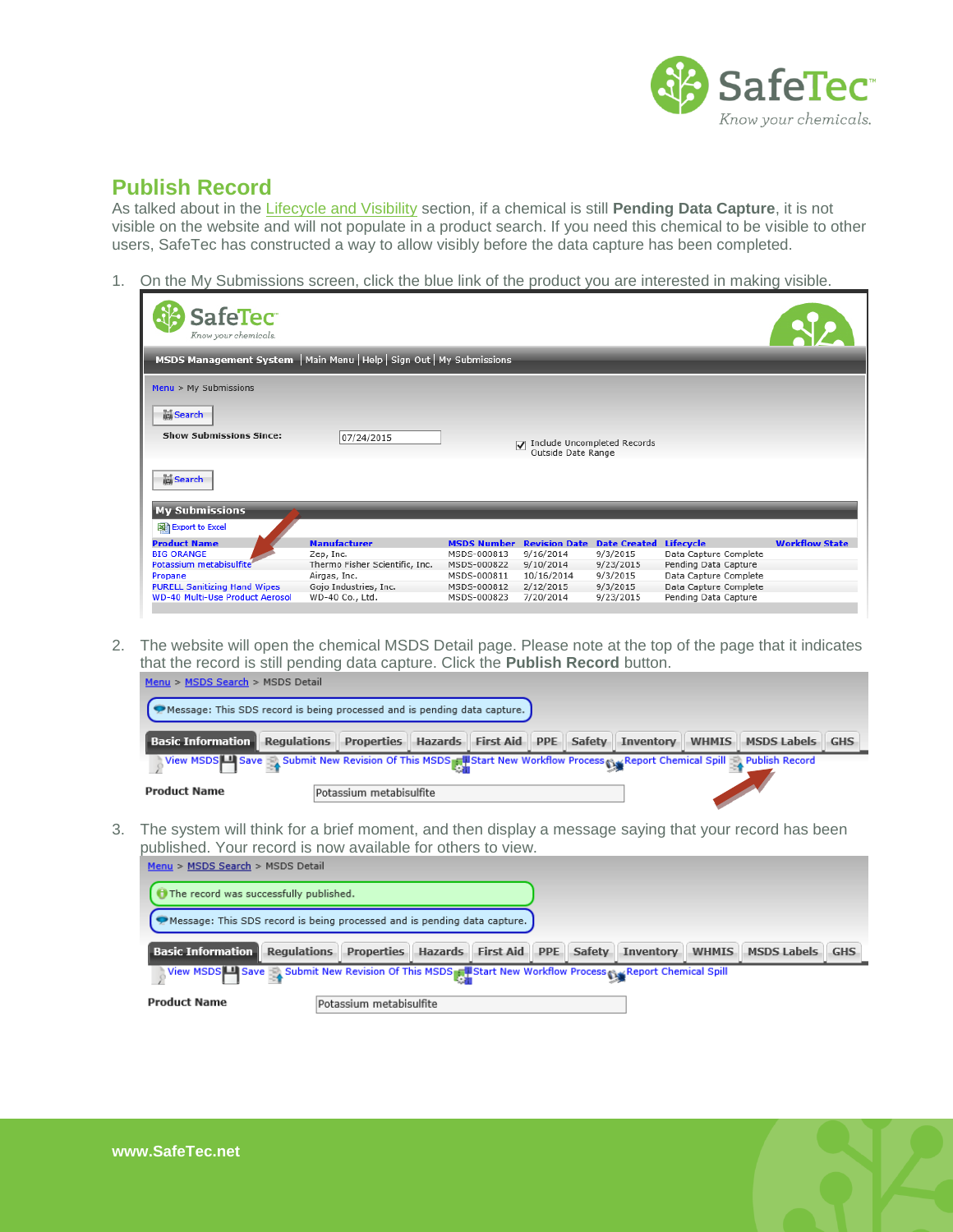

# **Publish Record**

As talked about in the [Lifecycle and Visibility](#page-1-0) section, if a chemical is still **Pending Data Capture**, it is not visible on the website and will not populate in a product search. If you need this chemical to be visible to other users, SafeTec has constructed a way to allow visibly before the data capture has been completed.

1. On the My Submissions screen, click the blue link of the product you are interested in making visible.

| <b>SafeTec</b><br>Know your chemicals.                                |                                                |                            |                                                   |                       |                                               |                       |
|-----------------------------------------------------------------------|------------------------------------------------|----------------------------|---------------------------------------------------|-----------------------|-----------------------------------------------|-----------------------|
| MSDS Management System   Main Menu   Help   Sign Out   My Submissions |                                                |                            |                                                   |                       |                                               |                       |
| $Menu$ > My Submissions                                               |                                                |                            |                                                   |                       |                                               |                       |
| <b>In Search</b><br><b>Show Submissions Since:</b>                    | 07/24/2015                                     |                            | Include Uncompleted Records<br>Outside Date Range |                       |                                               |                       |
| <b>In Search</b>                                                      |                                                |                            |                                                   |                       |                                               |                       |
| <b>My Submissions</b><br>Export to Excel                              |                                                |                            |                                                   |                       |                                               |                       |
| <b>Product Name</b>                                                   | <b>Manufacturer</b>                            | <b>MSDS Number</b>         | <b>Revision Date</b>                              | <b>Date Created</b>   | <b>Lifecycle</b>                              | <b>Workflow State</b> |
| <b>BIG ORANGE</b><br>Potassium metabisulfite                          | Zep, Inc.                                      | MSDS-000813<br>MSDS-000822 | 9/16/2014<br>9/10/2014                            | 9/3/2015<br>9/23/2015 | Data Capture Complete                         |                       |
| Propane                                                               | Thermo Fisher Scientific, Inc.<br>Airgas, Inc. | MSDS-000811                | 10/16/2014                                        | 9/3/2015              | Pending Data Capture<br>Data Capture Complete |                       |
| <b>PURELL Sanitizing Hand Wipes</b>                                   | Gojo Industries, Inc.                          | MSDS-000812                | 2/12/2015                                         | 9/3/2015              | Data Capture Complete                         |                       |
| <b>WD-40 Multi-Use Product Aerosol</b>                                | WD-40 Co., Ltd.                                | MSDS-000823                | 7/20/2014                                         | 9/23/2015             | Pending Data Capture                          |                       |

2. The website will open the chemical MSDS Detail page. Please note at the top of the page that it indicates that the record is still pending data capture. Click the **Publish Record** button.

| Message: This SDS record is being processed and is pending data capture.                                                   |                         |  |  |  |  |
|----------------------------------------------------------------------------------------------------------------------------|-------------------------|--|--|--|--|
| <b>Basic Information Regulations Properties Hazards First Aid PPE Safety Inventory WHMIS MSDS Labels GHS</b>               |                         |  |  |  |  |
| Niew MSDS Save A Submit New Revision Of This MSDS RU Start New Workflow Process SaveReport Chemical Spill A Publish Record |                         |  |  |  |  |
| <b>Product Name</b>                                                                                                        | Potassium metabisulfite |  |  |  |  |

3. The system will think for a brief moment, and then display a message saying that your record has been published. Your record is now available for others to view.

| Menu > MSDS Search > MSDS Detail                                                                          |                         |  |  |  |                    |            |
|-----------------------------------------------------------------------------------------------------------|-------------------------|--|--|--|--------------------|------------|
| The record was successfully published.                                                                    |                         |  |  |  |                    |            |
| Message: This SDS record is being processed and is pending data capture.                                  |                         |  |  |  |                    |            |
| <b>Basic Information Regulations Properties Hazards First Aid PPE Safety Inventory WHMIS</b>              |                         |  |  |  | <b>MSDS Labels</b> | <b>GHS</b> |
| View MSDS   Save Solbmit New Revision Of This MSDS   Start New Workflow Process New Report Chemical Spill |                         |  |  |  |                    |            |
| <b>Product Name</b>                                                                                       | Potassium metabisulfite |  |  |  |                    |            |

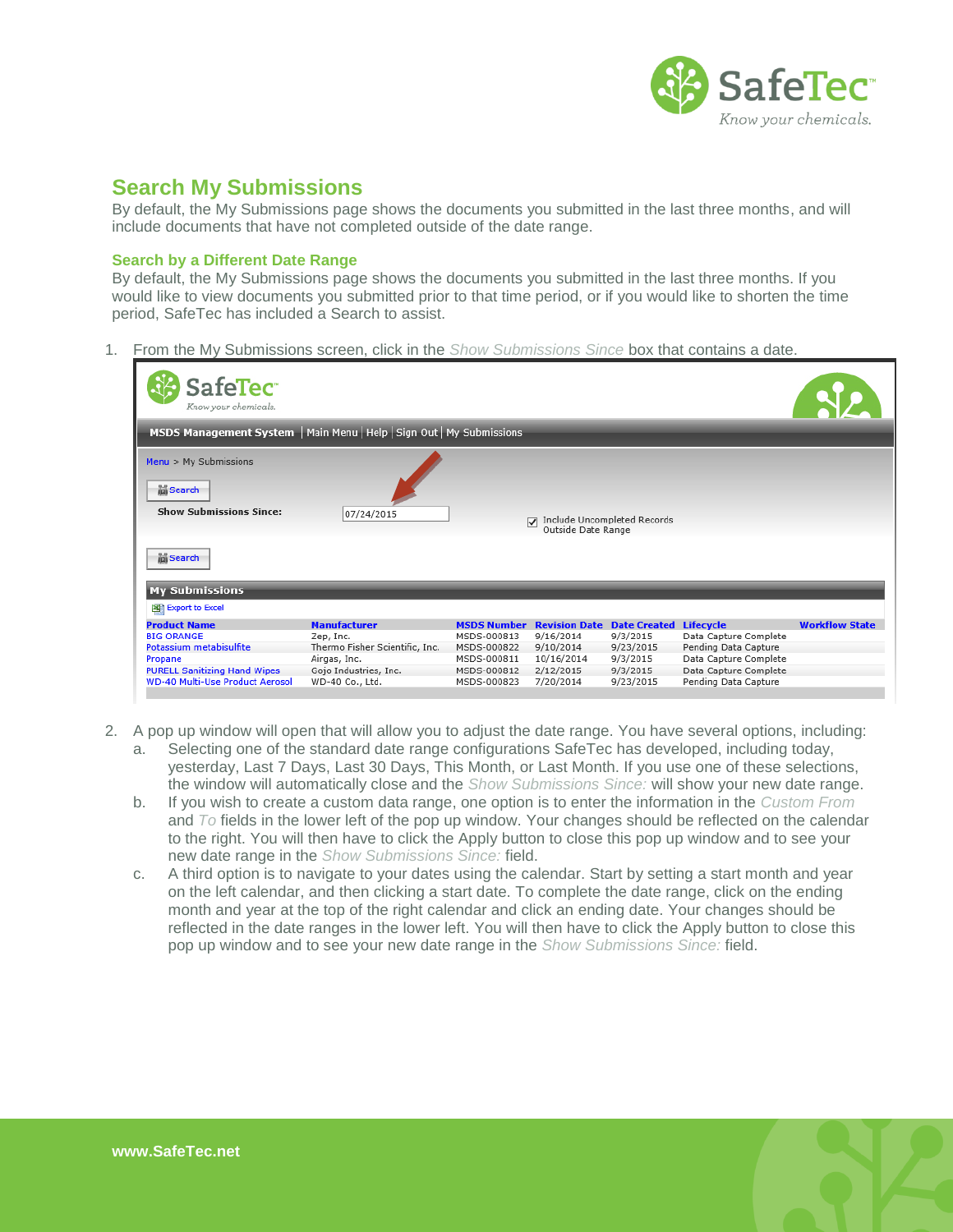

### <span id="page-4-0"></span>**Search My Submissions**

By default, the My Submissions page shows the documents you submitted in the last three months, and will include documents that have not completed outside of the date range.

#### <span id="page-4-1"></span>**Search by a Different Date Range**

By default, the My Submissions page shows the documents you submitted in the last three months. If you would like to view documents you submitted prior to that time period, or if you would like to shorten the time period, SafeTec has included a Search to assist.

1. From the My Submissions screen, click in the *Show Submissions Since* box that contains a date.

| <b>SafeTec</b><br>Know your chemicals.                                |                                |                    |                                             |                                                   |                       |                       |
|-----------------------------------------------------------------------|--------------------------------|--------------------|---------------------------------------------|---------------------------------------------------|-----------------------|-----------------------|
| MSDS Management System   Main Menu   Help   Sign Out   My Submissions |                                |                    |                                             |                                                   |                       |                       |
| $Menu$ > My Submissions                                               |                                |                    |                                             |                                                   |                       |                       |
| in Search<br><b>Show Submissions Since:</b>                           | 07/24/2015                     |                    | $\overline{v}$                              | Include Uncompleted Records<br>Outside Date Range |                       |                       |
| in Search                                                             |                                |                    |                                             |                                                   |                       |                       |
| <b>My Submissions</b>                                                 |                                |                    |                                             |                                                   |                       |                       |
| Export to Excel                                                       |                                |                    |                                             |                                                   |                       |                       |
| <b>Product Name</b>                                                   | <b>Manufacturer</b>            | <b>MSDS Number</b> | <b>Revision Date Date Created Lifecycle</b> |                                                   |                       | <b>Workflow State</b> |
| <b>BIG ORANGE</b>                                                     | Zep, Inc.                      | MSDS-000813        | 9/16/2014                                   | 9/3/2015                                          | Data Capture Complete |                       |
| Potassium metabisulfite                                               | Thermo Fisher Scientific, Inc. | MSDS-000822        | 9/10/2014                                   | 9/23/2015                                         | Pending Data Capture  |                       |
| Propane                                                               | Airgas, Inc.                   | MSDS-000811        | 10/16/2014                                  | 9/3/2015                                          | Data Capture Complete |                       |
| <b>PURELL Sanitizing Hand Wipes</b>                                   | Gojo Industries, Inc.          | MSDS-000812        | 2/12/2015                                   | 9/3/2015                                          | Data Capture Complete |                       |
| <b>WD-40 Multi-Use Product Aerosol</b>                                |                                |                    |                                             | 9/23/2015                                         | Pending Data Capture  |                       |

- 2. A pop up window will open that will allow you to adjust the date range. You have several options, including:
	- a. Selecting one of the standard date range configurations SafeTec has developed, including today, yesterday, Last 7 Days, Last 30 Days, This Month, or Last Month. If you use one of these selections, the window will automatically close and the *Show Submissions Since:* will show your new date range.
	- b. If you wish to create a custom data range, one option is to enter the information in the *Custom From* and *To* fields in the lower left of the pop up window. Your changes should be reflected on the calendar to the right. You will then have to click the Apply button to close this pop up window and to see your new date range in the *Show Submissions Since:* field.
	- c. A third option is to navigate to your dates using the calendar. Start by setting a start month and year on the left calendar, and then clicking a start date. To complete the date range, click on the ending month and year at the top of the right calendar and click an ending date. Your changes should be reflected in the date ranges in the lower left. You will then have to click the Apply button to close this pop up window and to see your new date range in the *Show Submissions Since:* field.

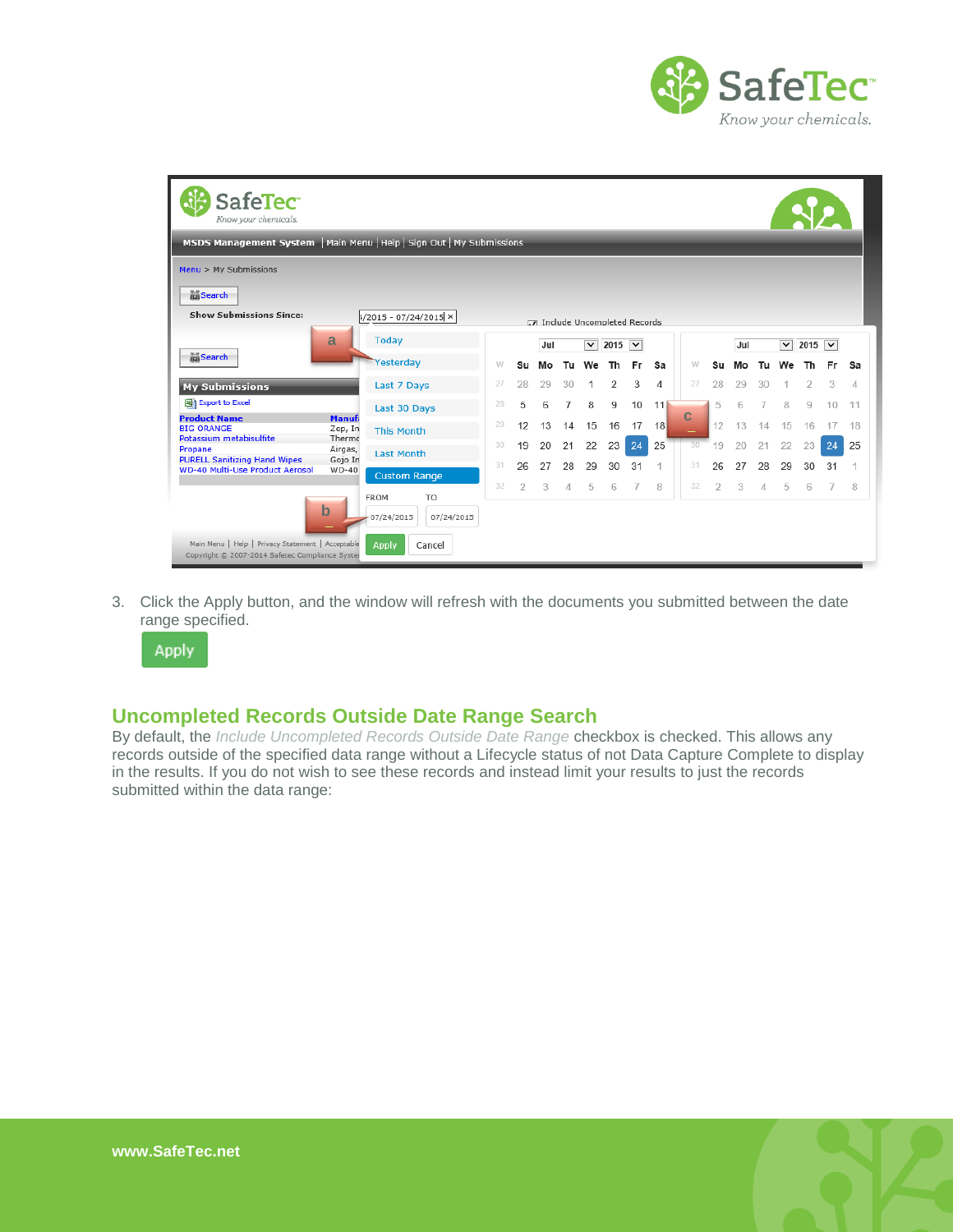

| <b>SafeTec</b><br>Know your chemicals.                                                               |                                    |                                                           |    |                |                             |    |                         |                |     |     |             |    |     |     |                         |             |        |    |
|------------------------------------------------------------------------------------------------------|------------------------------------|-----------------------------------------------------------|----|----------------|-----------------------------|----|-------------------------|----------------|-----|-----|-------------|----|-----|-----|-------------------------|-------------|--------|----|
| MSDS Management System   Main Menu   Help   Sign Out   My Submissions                                |                                    |                                                           |    |                |                             |    |                         |                |     |     |             |    |     |     |                         |             |        |    |
| $Menu$ > My Submissions                                                                              |                                    |                                                           |    |                |                             |    |                         |                |     |     |             |    |     |     |                         |             |        |    |
| Search                                                                                               |                                    |                                                           |    |                |                             |    |                         |                |     |     |             |    |     |     |                         |             |        |    |
| <b>Show Submissions Since:</b>                                                                       |                                    | $ 1/2015 - 07/24/2015  \times  $                          |    |                | Include Uncompleted Records |    |                         |                |     |     |             |    |     |     |                         |             |        |    |
|                                                                                                      | a                                  | <b>Today</b>                                              |    |                | Jul                         |    | $\overline{\mathbf{v}}$ | 2015 $\vee$    |     |     |             |    | Jul |     | $\overline{\mathsf{v}}$ | 2015 $\vee$ |        |    |
| <b>MiSearch</b>                                                                                      |                                    | Yesterday                                                 | W  | <b>Su</b>      | Mo                          | Tu | We                      | Th             | Fr. | Sa  | W           | Su | Mo  | Tu. | We                      | Th          | Fr     | Sa |
| <b>My Submissions</b>                                                                                |                                    | Last 7 Days                                               | 27 | 28             | 29                          | 30 |                         | $\overline{2}$ | 3   | 4   | 27          | 28 | 29  | 30  |                         | 2           | 3      | 4  |
| <b>Export to Excel</b>                                                                               |                                    | Last 30 Days                                              | 28 | 5              | 6                           |    | 8                       | 9              | 10  | 111 |             | 5  | 6   |     | 8                       | 9           | $10 -$ | 11 |
| <b>Product Name</b><br><b>BIG ORANGE</b><br>Potassium metabisulfite                                  | <b>Manufi</b><br>Zep, In<br>Thermo | <b>This Month</b>                                         | 29 | 12             | 13                          | 14 | 15                      | 16             | 17  | 18  | $\mathbf C$ | 12 | 13  | 14  | 15                      | 16          |        | 18 |
| Propane<br><b>PURELL Sanitizing Hand Wipes</b>                                                       | Airgas,<br>Gojo In                 | <b>Last Month</b>                                         | 30 | 19             | 20                          | 21 | 22                      | 23             | 24  | 25  | 30          | 19 | 20  | 21  | 22                      | 23          | 24     | 25 |
| <b>WD-40 Multi-Use Product Aerosol</b>                                                               | $WD-40$                            | <b>Custom Range</b>                                       | 31 | 26             | 27                          | 28 | 29                      | 30             | 31  |     | 31          | 26 | 27  | 28  | 29                      | 30          | 31     | 1  |
|                                                                                                      | $\mathbf b$                        | <b>FROM</b><br>T <sub>O</sub><br>07/24/2015<br>07/24/2015 | 32 | $\overline{2}$ | 3                           | 4  | 5                       | 6              |     | 8   | 32          | 2  | 3   | 4   | 5                       | 6           |        | 8  |
| Main Menu   Help   Privacy Statement   Acceptable<br>Copyright © 2007-2014 Safetec Compliance Syster |                                    | Apply<br>Cancel                                           |    |                |                             |    |                         |                |     |     |             |    |     |     |                         |             |        |    |

3. Click the Apply button, and the window will refresh with the documents you submitted between the date range specified.



#### <span id="page-5-0"></span>**Uncompleted Records Outside Date Range Search**

By default, the *Include Uncompleted Records Outside Date Range* checkbox is checked. This allows any records outside of the specified data range without a Lifecycle status of not Data Capture Complete to display in the results. If you do not wish to see these records and instead limit your results to just the records submitted within the data range: